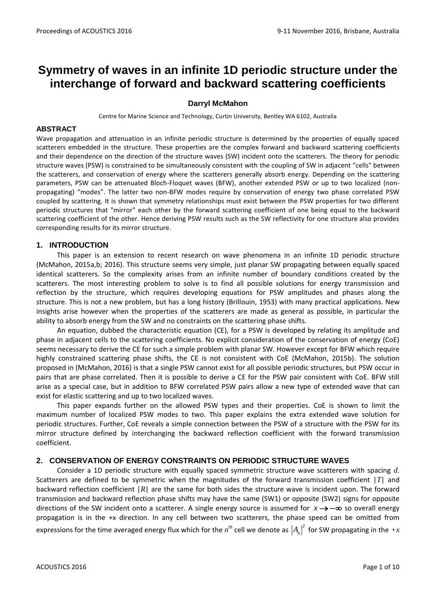# **Symmetry of waves in an infinite 1D periodic structure under the interchange of forward and backward scattering coefficients**

## **Darryl McMahon**

Centre for Marine Science and Technology, Curtin University, Bentley WA 6102, Australia

## **ABSTRACT**

Wave propagation and attenuation in an infinite periodic structure is determined by the properties of equally spaced scatterers embedded in the structure. These properties are the complex forward and backward scattering coefficients and their dependence on the direction of the structure waves (SW) incident onto the scatterers. The theory for periodic structure waves (PSW) is constrained to be simultaneously consistent with the coupling of SW in adjacent "cells" between the scatterers, and conservation of energy where the scatterers generally absorb energy. Depending on the scattering parameters, PSW can be attenuated Bloch-Floquet waves (BFW), another extended PSW or up to two localized (nonpropagating) "modes". The latter two non-BFW modes require by conservation of energy two phase correlated PSW coupled by scattering. It is shown that symmetry relationships must exist between the PSW properties for two different periodic structures that "mirror" each other by the forward scattering coefficient of one being equal to the backward scattering coefficient of the other. Hence deriving PSW results such as the SW reflectivity for one structure also provides corresponding results for its mirror structure.

# **1. INTRODUCTION**

This paper is an extension to recent research on wave phenomena in an infinite 1D periodic structure (McMahon, 2015a,b; 2016). This structure seems very simple, just planar SW propagating between equally spaced identical scatterers. So the complexity arises from an infinite number of boundary conditions created by the scatterers. The most interesting problem to solve is to find all possible solutions for energy transmission and reflection by the structure, which requires developing equations for PSW amplitudes and phases along the structure. This is not a new problem, but has a long history (Brillouin, 1953) with many practical applications. New insights arise however when the properties of the scatterers are made as general as possible, in particular the ability to absorb energy from the SW and no constraints on the scattering phase shifts.

An equation, dubbed the characteristic equation (CE), for a PSW is developed by relating its amplitude and phase in adjacent cells to the scattering coefficients. No explicit consideration of the conservation of energy (CoE) seems necessary to derive the CE for such a simple problem with planar SW. However except for BFW which require highly constrained scattering phase shifts, the CE is not consistent with CoE (McMahon, 2015b). The solution proposed in (McMahon, 2016) is that a single PSW cannot exist for all possible periodic structures, but PSW occur in pairs that are phase correlated. Then it is possible to derive a CE for the PSW pair consistent with CoE. BFW still arise as a special case, but in addition to BFW correlated PSW pairs allow a new type of extended wave that can exist for elastic scattering and up to two localized waves.

This paper expands further on the allowed PSW types and their properties. CoE is shown to limit the maximum number of localized PSW modes to two. This paper explains the extra extended wave solution for periodic structures. Further, CoE reveals a simple connection between the PSW of a structure with the PSW for its mirror structure defined by interchanging the backward reflection coefficient with the forward transmission coefficient.

# **2. CONSERVATION OF ENERGY CONSTRAINTS ON PERIODIC STRUCTURE WAVES**

Consider a 1D periodic structure with equally spaced symmetric structure wave scatterers with spacing *d*. Scatterers are defined to be symmetric when the magnitudes of the forward transmission coefficient |*T*| and backward reflection coefficient |*R*| are the same for both sides the structure wave is incident upon. The forward transmission and backward reflection phase shifts may have the same (SW1) or opposite (SW2) signs for opposite directions of the SW incident onto a scatterer. A single energy source is assumed for  $x \rightarrow -\infty$  so overall energy propagation is in the +x direction. In any cell between two scatterers, the phase speed can be omitted from expressions for the time averaged energy flux which for the  $n^{th}$  cell we denote as  $\left|A_n\right|^2$  for SW propagating in the  $+x$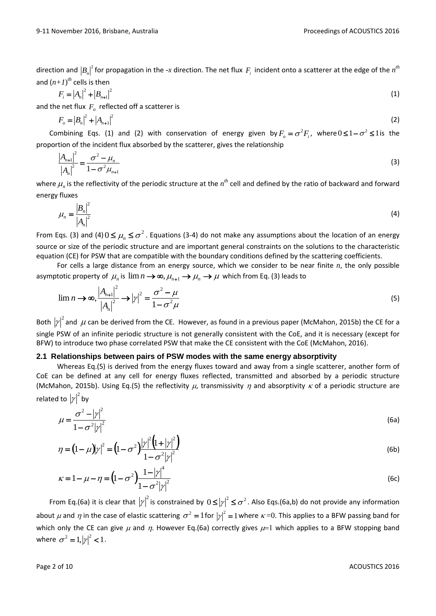direction and  $\left|B_n\right|^2$  for propagation in the -x direction. The net flux  $F_i$  incident onto a scatterer at the edge of the  $n^{th}$ and  $(n+1)^{th}$  cells is then

$$
F_i = |A_n|^2 + |B_{n+1}|^2 \tag{1}
$$

and the net flux  $F_o$  reflected off a scatterer is

$$
F_o = |B_n|^2 + |A_{n+1}|^2
$$
 (2)

Combining Eqs. (1) and (2) with conservation of energy given by  $F_o = \sigma^2 F_i$ , where  $0 \leq 1 - \sigma^2 \leq 1$  is the proportion of the incident flux absorbed by the scatterer, gives the relationship

$$
\frac{|A_{n+1}|^2}{|A_n|^2} = \frac{\sigma^2 - \mu_n}{1 - \sigma^2 \mu_{n+1}}
$$
 (3)

where  $\mu_n$  is the reflectivity of the periodic structure at the  $n^{th}$  cell and defined by the ratio of backward and forward energy fluxes

$$
\mu_n = \frac{|B_n|^2}{|A_n|^2} \tag{4}
$$

From Eqs. (3) and (4)  $0 \le \mu_n \le \sigma^2$ . Equations (3-4) do not make any assumptions about the location of an energy source or size of the periodic structure and are important general constraints on the solutions to the characteristic equation (CE) for PSW that are compatible with the boundary conditions defined by the scattering coefficients.

For cells a large distance from an energy source, which we consider to be near finite *n*, the only possible asymptotic property of  $\mu_n$  is  $\lim n \to \infty$ ,  $\mu_{n+1} \to \mu_n \to \mu$  which from Eq. (3) leads to

$$
\lim_{n \to \infty} \frac{|A_{n+1}|^2}{|A_n|^2} \to |\gamma|^2 = \frac{\sigma^2 - \mu}{1 - \sigma^2 \mu}
$$
\n<sup>(5)</sup>

Both  $|y|^2$  and  $\mu$  can be derived from the CE. However, as found in a previous paper (McMahon, 2015b) the CE for a single PSW of an infinite periodic structure is not generally consistent with the CoE, and it is necessary (except for BFW) to introduce two phase correlated PSW that make the CE consistent with the CoE (McMahon, 2016).

# **2.1 Relationships between pairs of PSW modes with the same energy absorptivity**

Whereas Eq.(5) is derived from the energy fluxes toward and away from a single scatterer, another form of CoE can be defined at any cell for energy fluxes reflected, transmitted and absorbed by a periodic structure (McMahon, 2015b). Using Eq.(5) the reflectivity  $\mu$ , transmissivity  $\eta$  and absorptivity  $\kappa$  of a periodic structure are related to  $\left|\gamma\right|^{2}$  by

$$
\mu = \frac{\sigma^2 - |\gamma|^2}{1 - \sigma^2 |\gamma|^2} \tag{6a}
$$

$$
\eta = (1 - \mu)|\gamma|^2 = (1 - \sigma^2)|\gamma|^2 (1 + |\gamma|^2)
$$
\n(6b)

$$
\kappa = 1 - \mu - \eta = \left(1 - \sigma^2\right) \frac{1 - |\gamma|^4}{1 - \sigma^2 |\gamma|^2}
$$
 (6c)

From Eq.(6a) it is clear that  $|\gamma|^2$  is constrained by  $0 \le |\gamma|^2 \le \sigma^2$ . Also Eqs.(6a,b) do not provide any information about  $\mu$  and  $\eta$  in the case of elastic scattering  $\sigma^2 = 1$  for  $|\gamma|^2 = 1$  where  $\kappa = 0$ . This applies to a BFW passing band for which only the CE can give  $\mu$  and  $\eta$ . However Eq.(6a) correctly gives  $\mu$ =1 which applies to a BFW stopping band where  $\sigma^2 = 1, |\gamma|^2 < 1$ .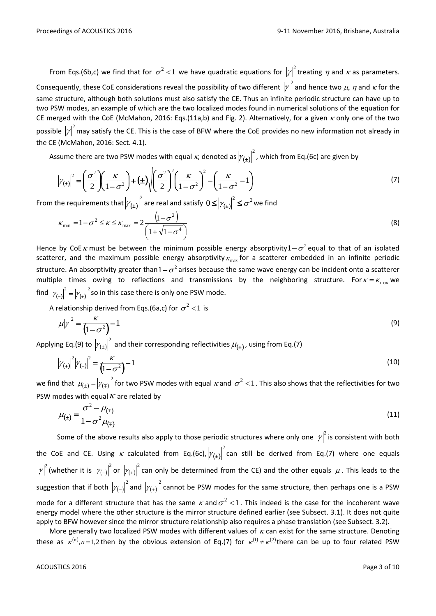From Eqs.(6b,c) we find that for  $\sigma^2$  < 1 we have quadratic equations for  $|y|^2$  treating  $\eta$  and  $\kappa$  as parameters. Consequently, these CoE considerations reveal the possibility of two different  $|y|^2$  and hence two  $\mu$ ,  $\eta$  and  $\kappa$  for the same structure, although both solutions must also satisfy the CE. Thus an infinite periodic structure can have up to two PSW modes, an example of which are the two localized modes found in numerical solutions of the equation for CE merged with the CoE (McMahon, 2016: Eqs.(11a,b) and Fig. 2). Alternatively, for a given  $\kappa$  only one of the two possible  ${|\gamma|}^2$  may satisfy the CE. This is the case of BFW where the CoE provides no new information not already in the CE (McMahon, 2016: Sect. 4.1).

Assume there are two PSW modes with equal  $\kappa$ , denoted as  $|\mathcal{V}_{(\pm)}\rangle$ 2  $\left|\mathcal{V}(\mathbf{t})\right|$  , which from Eq.(6c) are given by

$$
\left|\gamma_{\left(\pm\right)}\right|^2 = \left(\frac{\sigma^2}{2}\right)\left(\frac{\kappa}{1-\sigma^2}\right) + \left(\pm\right)\sqrt{\left(\frac{\sigma^2}{2}\right)^2 \left(\frac{\kappa}{1-\sigma^2}\right)^2 - \left(\frac{\kappa}{1-\sigma^2} - 1\right)}
$$
\n(7)

From the requirements that  $|\mathcal{V}_{(\pm)}\rangle$  $\left|\gamma_{(\pm)}\right|^2$  are real and satisfy  $0\!\leq\!\left|\gamma_{(\pm)}\right|^2\!\leq\! \sigma^2$  we find

$$
\kappa_{\min} = 1 - \sigma^2 \le \kappa \le \kappa_{\max} = 2 \frac{\left(1 - \sigma^2\right)}{\left(1 + \sqrt{1 - \sigma^4}\right)}
$$
\n(8)

Hence by CoE  $\kappa$  must be between the minimum possible energy absorptivity  $1-\sigma^2$  equal to that of an isolated scatterer, and the maximum possible energy absorptivity  $\kappa_{\max}$  for a scatterer embedded in an infinite periodic structure. An absorptivity greater than  $1-\sigma^2$  arises because the same wave energy can be incident onto a scatterer multiple times owing to reflections and transmissions by the neighboring structure. For  $\kappa = \kappa_{\text{max}}$  we find  $|\gamma_{(-)}|^2 = |\gamma_{(+)}|$  $\left|\gamma_{(-)}\right|^2 = \left|\gamma_{(+)}\right|^2$  so in this case there is only one PSW mode.

A relationship derived from Eqs.(6a,c) for  $\sigma^2$  < 1 is

$$
\mu |\gamma|^2 = \frac{\kappa}{\left(1 - \sigma^2\right)^{-1}}
$$
\n(9)

Applying Eq.(9) to  $| \gamma_{(\pm)} \rangle$  $\left|\gamma_{(\pm)}\right|^-$  and their corresponding reflectivities  $\mu_{(\pm)}$ , using from Eq.(7)

$$
|\gamma_{(+)}|^2 |\gamma_{(-)}|^2 = \frac{\kappa}{\left(1 - \sigma^2\right)} - 1
$$
\n(10)

we find that  $\mu_{(\pm)} = |\gamma_{(\mp)}|$  $\mu_{(\pm)}\!=\! \left|\!\gamma_{(\mp)}\right|^2$  for two PSW modes with equal  $\kappa$  and  $\,\sigma^2$  < 1 . This also shows that the reflectivities for two PSW modes with equal  $\kappa$  are related by

$$
\mu_{(\pm)} = \frac{\sigma^2 - \mu_{(\mp)}}{1 - \sigma^2 \mu_{(\mp)}} \tag{11}
$$

Some of the above results also apply to those periodic structures where only one  $|y|^2$  is consistent with both the CoE and CE. Using  $\kappa$  calculated from Eq.(6c),  $|\gamma_{(\pm)}\rangle$ 2  $|\gamma_{(\pm)}|$  can still be derived from Eq.(7) where one equals  $\left|\gamma\right|^{2}$  (whether it is  $\left|\gamma_{(-)}\right|$ 2  $|\gamma_{(-)}|$  or  $|\gamma_{(+)}|$ 2  $\left|\mathbb{M}_{(+)}\right|$  can only be determined from the CE) and the other equals  $\,\mu$  . This leads to the suggestion that if both  $| \gamma_{(-)}$ 2  $\left|\mathcal{Y}_{\left(-\right)}\right|^{-}$  and  $\left|\mathcal{Y}_{\left(+\right)}\right|$ 2  $\left|\mathcal{Y}_{(+)}\right|$  cannot be PSW modes for the same structure, then perhaps one is a PSW mode for a different structure that has the same  $\kappa$  and  $\sigma^2$  < 1. This indeed is the case for the incoherent wave energy model where the other structure is the mirror structure defined earlier (see Subsect. 3.1). It does not quite apply to BFW however since the mirror structure relationship also requires a phase translation (see Subsect. 3.2).

More generally two localized PSW modes with different values of  $\kappa$  can exist for the same structure. Denoting these as  $\kappa^{(n)}, n=1,2$  then by the obvious extension of Eq.(7) for  $\kappa^{(1)}\neq \kappa^{(2)}$ there can be up to four related PSW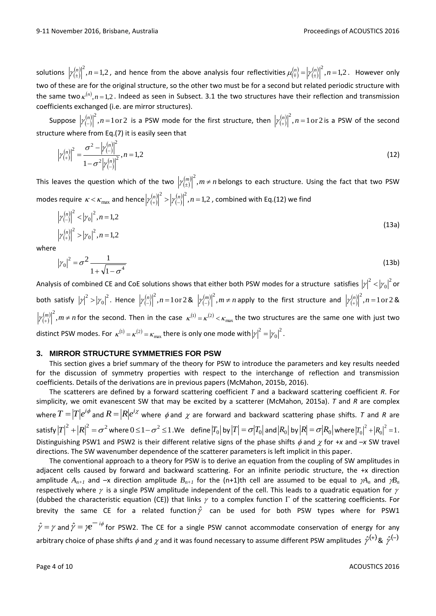solutions  $\left|\gamma^{(n)}_{(\pm)}\right|^2$ , $n=1,2$  , and hence from the above analysis four reflectivities  $\mu^{(n)}_{(\mp)}$  $(n)$  $(\pm)$  $\mu_{\left(\mp\right)}^{(n)} = \left|\gamma_{\left(\pm\right)}^{(n)}\right|^2, n = 1, 2$ . However only two of these are for the original structure, so the other two must be for a second but related periodic structure with the same two  $\kappa^{(n)}, n=1,2$ . Indeed as seen in Subsect. 3.1 the two structures have their reflection and transmission coefficients exchanged (i.e. are mirror structures).

Suppose  $\left|\gamma_{(-)}^{(n)}\right|$  $\left|\gamma^{(n)}_{(-)}\right|^2$ ,  $n=1\text{ or }2$  is a PSW mode for the first structure, then  $\left|\gamma^{(n)}_{(+)}\right|^2$ ,  $n=1\text{ or }2$  is a PSW of the second structure where from Eq.(7) it is easily seen that

$$
\left|\gamma_{(+)}^{(n)}\right|^2 = \frac{\sigma^2 - \left|\gamma_{(-)}^{(n)}\right|^2}{1 - \sigma^2 \left|\gamma_{(-)}^{(n)}\right|^2}, n = 1, 2
$$
\n(12)

This leaves the question which of the two  $\left|\gamma^{(m)}_{(\pm)}\right|^2, m\neq n$  $\left|\gamma_{(\pm)}^{(m)}\right|$  , $m\neq n$  belongs to each structure. Using the fact that two PSW modes require  $\kappa < \kappa_{\max}$  and hence  $\left|\gamma^{(n)}_{(+)}\right|^2 > \left|\gamma^{(n)}_{(-)}\right|^2, n=1,2$  , combined with Eq.(12) we find

$$
\left|\gamma_{(-)}^{(n)}\right|^2 < \left|\gamma_0\right|^2, n = 1, 2
$$
\n
$$
\left|\gamma_{(+)}^{(n)}\right|^2 > \left|\gamma_0\right|^2, n = 1, 2
$$
\n(13a)

where

$$
|\gamma_0|^2 = \sigma^2 \frac{1}{1 + \sqrt{1 - \sigma^4}}
$$
 (13b)

Analysis of combined CE and CoE solutions shows that either both PSW modes for a structure satisfies  $|y|^2<|y_0|^2$  $\mathbf{0}$  $\left|\gamma\right|^2 < \left|\gamma_0\right|^2$  or both satisfy  $\left|\gamma\right|^{2}>\left|\gamma_{0}\right|^{2}$  $\boldsymbol{0}$  $\left|\gamma\right|^{2}>\left|\gamma_{0}\right|^{2}.$  Hence  $\left|\gamma_{(-)}^{(n)}\right|$  $\left|\gamma_{(-)}^{(n)}\right|^2, n=1 \text{ or } 2 \text{ & } \left|\gamma_{(-)}^{(m)}\right|^2, m \neq n$  $\left|\gamma_{(-)}^{(m)}\right|^2$ ,  $m \neq n$  apply to the first structure and  $\left|\gamma_{(+)}^{(n)}\right|^2$ ,  $n = 1$  or 2 &  $\binom{m}{+}^{2}$ ,  $m \neq n$  $\left[\gamma_{(+)}^{(m)}\right]^2$ ,  $m \neq n$  for the second. Then in the case  $\kappa^{(1)} = \kappa^{(2)} < \kappa_{\max}$  the two structures are the same one with just two distinct PSW modes. For  $\kappa^{(1)}=\kappa^{(2)}=\kappa_{\rm max}$  there is only one mode with  $\big|\gamma\big|^2=\big|\gamma_0\big|^2$  $\mathbf{0}$  $|\gamma|^2 = |\gamma_0|^2$ .

#### **3. MIRROR STRUCTURE SYMMETRIES FOR PSW**

This section gives a brief summary of the theory for PSW to introduce the parameters and key results needed for the discussion of symmetry properties with respect to the interchange of reflection and transmission coefficients. Details of the derivations are in previous papers (McMahon, 2015b, 2016).

The scatterers are defined by a forward scattering coefficient *T* and a backward scattering coefficient *R*. For simplicity, we omit evanescent SW that may be excited by a scatterer (McMahon, 2015a). *T* and *R* are complex where  $T=|T|e^{i\phi}$  and  $R=|R|e^{i\chi}$  where  $\phi$  and  $\chi$  are forward and backward scattering phase shifts.  $\tau$  and  $R$  are  $\mathsf{satisfy} \left|T\right|^2 + \left|R\right|^2 = \sigma^2$  where  $0 \leq 1 - \sigma^2 \leq 1$  . We define  $\left|T_0\right|$  by  $\left|T\right| = \sigma \big|T_0\big|$  and  $\left|R_0\right|$  by  $\left|R\right| = \sigma \big|R_0\big|$  where  $\left|T_0\right|^2 + \left|R_0\right|^2 = 1$ 0  $|T_0|^2 + |R_0|^2 = 1$ . Distinguishing PSW1 and PSW2 is their different relative signs of the phase shifts  $\phi$  and  $\chi$  for +*x* and -*x* SW travel directions. The SW wavenumber dependence of the scatterer parameters is left implicit in this paper.

The conventional approach to a theory for PSW is to derive an equation from the coupling of SW amplitudes in adjacent cells caused by forward and backward scattering. For an infinite periodic structure, the +x direction amplitude  $A_{n+1}$  and  $-x$  direction amplitude  $B_{n+1}$  for the (n+1)th cell are assumed to be equal to  $\gamma A_n$  and  $\gamma B_n$ respectively where  $\gamma$  is a single PSW amplitude independent of the cell. This leads to a quadratic equation for  $\gamma$ (dubbed the characteristic equation (CE)) that links  $\gamma$  to a complex function  $\Gamma$  of the scattering coefficients. For brevity the same CE for a related function $\hat{\gamma}$  can be used for both PSW types where for PSW1  $\hat{\gamma} = \gamma$  and  $\hat{\gamma} = \gamma e^{-i\phi}$  for PSW2. The CE for a single PSW cannot accommodate conservation of energy for any

arbitrary choice of phase shifts  $\phi$  and  $\chi$  and it was found necessary to assume different PSW amplitudes  $\hat{\gamma}^{(+)}$ &  $\hat{\gamma}^{(-)}$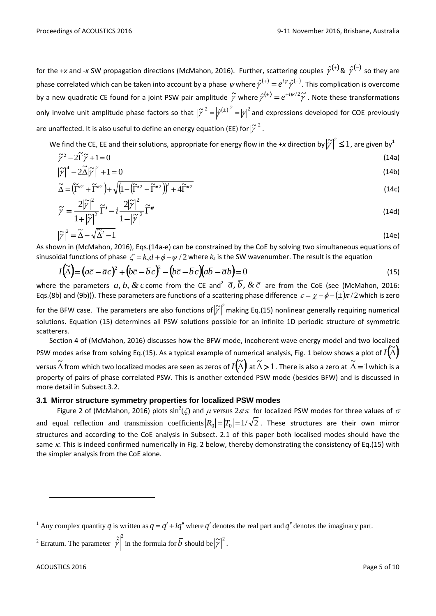for the +x and -x SW propagation directions (McMahon, 2016). Further, scattering couples  $\hat{\gamma}^{(+)}$ &  $\hat{\gamma}^{(-)}$  so they are phase correlated which can be taken into account by a phase  $\psi$  where  $\hat\gamma^{(+)}=e^{i\psi}\hat\gamma^{(-)}$ . This complication is overcome by a new quadratic CE found for a joint PSW pair amplitude  $\widetilde\gamma$  where  $\hat\gamma^{(\pm)}=e^{\pm i\psi/2}\widetilde\gamma$  . Note these transformations only involve unit amplitude phase factors so that  $\left| \widetilde{\gamma}\right|^2=\left| \hat{\gamma}^{(\pm)}\right|^2=\left| \gamma\right|^2$  and expressions developed for COE previously are unaffected. It is also useful to define an energy equation (EE) for  $\left|\widetilde{\mathbf{y}}\right|^2.$ 

We find the CE, EE and their solutions, appropriate for energy flow in the +x direction by  $\big|\widetilde{\gamma}\big|^2\leq 1$  , are given by  $^1$ 

$$
\tilde{\gamma}^2 - 2\tilde{\Gamma}\tilde{\gamma} + 1 = 0 \tag{14a}
$$

$$
\left|\widetilde{\gamma}\right|^4 - 2\widetilde{\Delta}\left|\widetilde{\gamma}\right|^2 + 1 = 0\tag{14b}
$$

$$
\widetilde{\Delta} = \left(\widetilde{\Gamma}'^2 + \widetilde{\Gamma}''^2\right) + \sqrt{\left(1 - \left(\widetilde{\Gamma}'^2 + \widetilde{\Gamma}''^2\right)\right)^2 + 4\widetilde{\Gamma}''^2}
$$
\n(14c)

$$
\widetilde{\gamma} = \frac{2|\widetilde{\gamma}|^2}{1+|\widetilde{\gamma}|^2} \widetilde{\Gamma}' - i \frac{2|\widetilde{\gamma}|^2}{1-|\widetilde{\gamma}|^2} \widetilde{\Gamma}'' \tag{14d}
$$

$$
\left|\widetilde{\gamma}\right|^2 = \widetilde{\Delta} - \sqrt{\widetilde{\Delta}^2 - 1} \tag{14e}
$$

As shown in (McMahon, 2016), Eqs.(14a-e) can be constrained by the CoE by solving two simultaneous equations of sinusoidal functions of phase  $\zeta = k_s d + \phi - \psi / 2$  where  $k_s$  is the SW wavenumber. The result is the equation

$$
I(\tilde{\Delta}) = (a\overline{c} - \overline{a}c)^2 + (b\overline{c} - \overline{b}c)^2 - (b\overline{c} - \overline{b}c)(a\overline{b} - \overline{a}b) = 0
$$
\n(15)

where the parameters  $a, b, \& c$  come from the CE and<sup>2</sup>  $\bar{a}, b, \& \bar{c}$  are from the CoE (see (McMahon, 2016: Eqs.(8b) and (9b))). These parameters are functions of a scattering phase difference  $\,\varepsilon=\chi-\phi-(\pm)\pi$  /2 which is zero

for the BFW case. The parameters are also functions of  $|\widetilde{\gamma}|^2$  making Eq.(15) nonlinear generally requiring numerical solutions. Equation (15) determines all PSW solutions possible for an infinite 1D periodic structure of symmetric scatterers.

Section 4 of (McMahon, 2016) discusses how the BFW mode, incoherent wave energy model and two localized PSW modes arise from solving Eq.(15). As a typical example of numerical analysis, Fig. 1 below shows a plot of  $I(\tilde{\Delta})$ versus  $\widetilde{\Delta}$  from which two localized modes are seen as zeros of  $I(\widetilde{\Delta})$  at  $\widetilde{\Delta}$  > 1 . There is also a zero at  $\widetilde{\Delta}$  = 1 which is a property of pairs of phase correlated PSW. This is another extended PSW mode (besides BFW) and is discussed in more detail in Subsect.3.2.

# **3.1 Mirror structure symmetry properties for localized PSW modes**

Figure 2 of (McMahon, 2016) plots  $\sin^2(\zeta)$  and  $\mu$  versus  $2\varepsilon/\pi$  for localized PSW modes for three values of  $\sigma$ and equal reflection and transmission coefficients $\big|R_0\big|=\big|T_0\big|=1/\sqrt{2}$  . These structures are their own mirror structures and according to the CoE analysis in Subsect. 2.1 of this paper both localised modes should have the same  $\kappa$ . This is indeed confirmed numerically in Fig. 2 below, thereby demonstrating the consistency of Eq.(15) with the simpler analysis from the CoE alone.

-

<sup>&</sup>lt;sup>1</sup> Any complex quantity *q* is written as  $q = q' + iq''$  where *q'* denotes the real part and *q*<sup>"</sup> denotes the imaginary part.

<sup>&</sup>lt;sup>2</sup> Erratum. The parameter  $\left|\hat{\hat{z}}\right|^2$  in the formula for  $\overline{b}$  should be  $\left|\tilde{\gamma}\right|^2$ .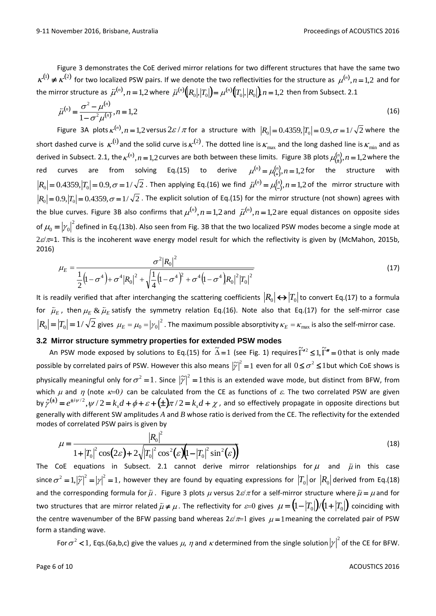Figure 3 demonstrates the CoE derived mirror relations for two different structures that have the same two  $K^{(1)} \neq K^{(2)}$  for two localized PSW pairs. If we denote the two reflectivities for the structure as  $\mu^{(n)}$ ,  $n = 1,2$  and for the mirror structure as  $\bar{\mu}^{(n)},n=1,2$  where  $\bar{\mu}^{(n)}\big(R_0|,|T_0|\big)=\mu^{(n)}\big(T_0|,|R_0|\big),n=1,2$  then from Subsect. 2.1

$$
\bar{\mu}^{(n)} = \frac{\sigma^2 - \mu^{(n)}}{1 - \sigma^2 \mu^{(n)}}, n = 1, 2
$$
\n(16)

Figure 3A plots  $\kappa^{(n)}$ ,  $n = 1,2$  versus  $2\varepsilon / \pi$  for a structure with  $|R_0| = 0.4359$ ,  $|T_0| = 0.9$ ,  $\sigma = 1/\sqrt{2}$  where the short dashed curve is  $\kappa^{(1)}$  and the solid curve is  $\kappa^{(2)}$ . The dotted line is  $\kappa_{\max}$  and the long dashed line is  $\kappa_{\min}$  and as derived in Subsect. 2.1, the  $\kappa^{(n)}$ ,  $n = 1,2$  curves are both between these limits. Figure 3B plots  $\mu^{(n)}_{(1)}, n = 1,2$  where the red curves are from solving Eq.(15) to derive  $\mu^{(n)} = \mu^{(n)}_{(+)}, n = 1,2$  for the structure with  $R_0 = 0.4359, |T_0| = 0.9, \sigma = 1/\sqrt{2}$ . Then applying Eq.(16) we find  $\bar{\mu}^{(n)} = \mu_{(-)}^{(n)}, n = 1,2$  of the mirror structure with  $|R_0| = 0.9, |T_0| = 0.4359, \sigma = 1/\sqrt{2}$ . The explicit solution of Eq.(15) for the mirror structure (not shown) agrees with the blue curves. Figure 3B also confirms that  $\mu^{(n)}$ ,  $n = 1,2$  and  $\bar{\mu}^{(n)}$ ,  $n = 1,2$  are equal distances on opposite sides of  $\mu_0 = |\gamma_0|^2$ defined in Eq.(13b). Also seen from Fig. 3B that the two localized PSW modes become a single mode at  $2\varepsilon/\pi$ =1. This is the incoherent wave energy model result for which the reflectivity is given by (McMahon, 2015b, 2016)

$$
\mu_E = \frac{\sigma^2 |R_0|^2}{\frac{1}{2} (1 - \sigma^4) + \sigma^4 |R_0|^2 + \sqrt{\frac{1}{4} (1 - \sigma^4)^2 + \sigma^4 (1 - \sigma^4) |R_0|^2 |T_0|^2}}
$$
(17)

It is readily verified that after interchanging the scattering coefficients  $|R_0|\leftrightarrow |T_0|$  to convert Eq.(17) to a formula for  $\bar{\mu}_{\scriptscriptstyle E}$  $\tilde{\mu}_{_E}$  , then  $\mu_{_E}$  &  $\tilde{\mu}_{_E}$  $\&$   $\bar{\mu}_E$  satisfy the symmetry relation Eq.(16). Note also that Eq.(17) for the self-mirror case  $R_0\big|=\big|T_0\big|=1/\sqrt{2}$  gives  $\mu_E=\mu_0=\big|\gamma_0\big|^2$  . The maximum possible absorptivity  $\kappa_E=\kappa_{\max}$  is also the self-mirror case.

# **3.2 Mirror structure symmetry properties for extended PSW modes**

An PSW mode exposed by solutions to Eq.(15) for  $\tilde{\Delta}=1$  (see Fig. 1) requires  $\tilde{\Gamma}'^2 \leq 1, \tilde{\Gamma}''=0$  that is only made possible by correlated pairs of PSW. However this also means  $|\widetilde{y}|^2=1$  even for all  $0\leq \sigma^2\leq 1$ but which CoE shows is physically meaningful only for  $\sigma^2 = 1$ . Since  $|\widetilde{y}|^2 = 1$  this is an extended wave mode, but distinct from BFW, from which  $\mu$  and  $\eta$  (note  $\kappa=0$ ) can be calculated from the CE as functions of  $\varepsilon$ . The two correlated PSW are given by  $\hat{\gamma}^{(\pm)}=e^{\pm i\psi/2}, \psi/2=k_s d+\phi+\varepsilon+(\pm)\pi/2=k_s d+\chi$ , and so effectively propagate in opposite directions but generally with different SW amplitudes *A* and *B* whose ratio is derived from the CE. The reflectivity for the extended modes of correlated PSW pairs is given by

$$
\mu = \frac{|R_0|^2}{1 + |T_0|^2 \cos(2\varepsilon) + 2\sqrt{|T_0|^2 \cos^2(\varepsilon)(1 - |T_0|^2 \sin^2(\varepsilon))}}
$$
(18)

The CoE equations in Subsect. 2.1 cannot derive mirror relationships for  $\mu$  and  $\bar{\mu}$  in this case since  $\sigma^2=$  1,  $|\widetilde\gamma|^2=|\gamma|^2=1$  , however they are found by equating expressions for  $\left|T_0\right|$  or  $\left|R_0\right|$  derived from Eq.(18) and the corresponding formula for  $\bar{\mu}$ . Figure 3 plots  $\mu$  versus 2 $\varepsilon/\pi$  for a self-mirror structure where  $\bar{\mu} = \mu$  and for two structures that are mirror related  $\bar\mu\neq\mu$  . The reflectivity for  $\text{\emph{\tiny{\textit{E}}-0}}$  gives  $\mu=\bigl(1-|T_0|\bigr)\!/\bigl(1+|T_0|\bigr)$  coinciding with the centre wavenumber of the BFW passing band whereas  $2\varepsilon/\pi=1$  gives  $\mu=1$  meaning the correlated pair of PSW form a standing wave.

For  $\sigma^2$  < 1, Eqs.(6a,b,c) give the values  $\mu$ ,  $\eta$  and  $\kappa$  determined from the single solution  $\left|\gamma\right|^2$  of the CE for BFW.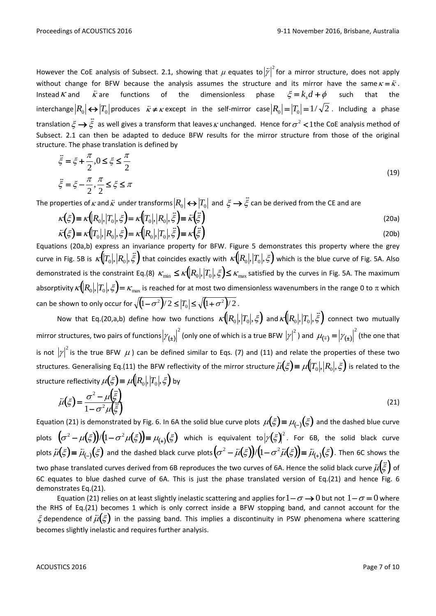However the CoE analysis of Subsect. 2.1, showing that  $\mu$  equates to  $\left|\bar{y}\right|^2$  for a mirror structure, does not apply without change for BFW because the analysis assumes the structure and its mirror have the same  $\kappa = \bar{\kappa}$ . Instead  $\kappa$  and  $\frac{1}{\kappa}$ are functions of the dimensionless phase  $\xi = k_d d + \phi$ such that the  $\text{interchange} \big| R_0 \big| \!\leftrightarrow\! \big| T_0 \big| \text{produces} \quad \tilde{\kappa} \!\neq\! \kappa \, \text{except in the self-mirror case} \big| R_0 \big| \!=\! \big| T_0 \big| \!=\! 1/\sqrt{2}$  . Including a phase translation  $\xi \rightarrow \xi$  $\frac{1}{2}$  $\rightarrow$   $\xi$  as well gives a transform that leaves  $\kappa$  unchanged. Hence for  $\sigma^2$  < 1 the CoE analysis method of Subsect. 2.1 can then be adapted to deduce BFW results for the mirror structure from those of the original structure. The phase translation is defined by

$$
\vec{\xi} = \xi + \frac{\pi}{2}, 0 \le \xi \le \frac{\pi}{2}
$$
\n
$$
\vec{\xi} = \xi - \frac{\pi}{2}, \frac{\pi}{2} \le \xi \le \pi
$$
\n
$$
\xi = \xi - \frac{\pi}{2}, \frac{\pi}{2} \le \xi \le \pi
$$
\n
$$
\xi = \xi - \frac{\pi}{2}, \frac{\pi}{2} \le \xi \le \pi
$$
\n
$$
\xi = \xi - \frac{\pi}{2}, \frac{\pi}{2} \le \xi \le \pi
$$
\n
$$
\xi = \xi - \frac{\pi}{2}, \frac{\pi}{2} \le \xi \le \pi
$$
\n
$$
\xi = \xi - \frac{\pi}{2}, \frac{\pi}{2} \le \xi \le \pi
$$
\n
$$
\xi = \xi - \frac{\pi}{2}, \frac{\pi}{2} \le \xi \le \pi
$$
\n
$$
\xi = \xi - \frac{\pi}{2}, \frac{\pi}{2} \le \xi \le \pi
$$
\n
$$
\xi = \xi - \frac{\pi}{2}, \frac{\pi}{2} \le \xi \le \pi
$$
\n
$$
\xi = \xi - \frac{\pi}{2}, \frac{\pi}{2} \le \xi \le \pi
$$
\n
$$
\xi = \xi - \frac{\pi}{2}, \frac{\pi}{2} \le \xi \le \pi
$$
\n
$$
\xi = \xi - \frac{\pi}{2}, \frac{\pi}{2} \le \xi \le \pi
$$
\n
$$
\xi = \xi - \frac{\pi}{2}, \frac{\pi}{2} \le \xi \le \pi
$$
\n
$$
\xi = \xi - \frac{\pi}{2}, \frac{\pi}{2} \le \xi \le \pi
$$

The properties of  $\kappa$  and  $\bar{\kappa}$  under transforms  $|R_{0}|$   $\leftrightarrow$   $\big|T_{0}\big|$  and  $\ \xi\rightarrow\ddot{\bar{\xi}}$  $\rightarrow$   $\xi$  can be derived from the CE and are

$$
\kappa(\xi) \equiv \kappa\big(R_0, |T_0|, \xi\big) = \kappa\big(T_0, |R_0|, \xi\big) = \bar{\kappa}(\xi)
$$
\n
$$
\bar{\kappa}(\xi) \equiv \kappa\big(T_0, |R_0|, \xi\big) = \kappa\big(R_0, |T_0|, \xi\big) = \kappa(\xi)
$$
\n(20a)

Equations (20a,b) express an invariance property for BFW. Figure 5 demonstrates this property where the grey curve in Fig. 5B is  $\kappa(|T_0|, |R_0|, \tilde{\xi})$  . "<br>::  $T_0|,|R_0|,\tilde{\xi}$  ) that coincides exactly with  $\,\kappa\big(\!|R_0|,|T_0|,\xi\big)$  which is the blue curve of Fig. 5A. Also demonstrated is the constraint Eq.(8)  $\kappa_{\min}\leq \kappa [R_0], |T_0|, \xi$   $\leq$   $\kappa_{\max}$  satisfied by the curves in Fig. 5A. The maximum absorptivity  $\kappa(|R_0|,|T_0|,\xi)$  =  $\kappa_{\max}$  is reached for at most two dimensionless wavenumbers in the range 0 to  $\pi$  which can be shown to only occur for  $\sqrt{(1-\sigma^2)/2} \leq |T_0| \leq \sqrt{(1+\sigma^2)/2}$  .

Now that Eq.(20,a,b) define how two functions  $\kappa(|R_0|,|T_0|,\xi)$  and  $\kappa(|R_0|,|T_0|,\tilde{\xi})$  $\frac{1}{12}$  $R_0|,$   $\left|T_0\right|,$   $\xi$   $\bm{j}$  connect two mutually mirror structures, two pairs of functions  $|\mathcal{V}_{(\pm)}\>$ 2  $\left|\gamma_{(\pm)}\right|^2$  (only one of which is a true BFW  $\left|\gamma\right|^2$  ) and  $\,\mu_{(\mp)}^{}=\left|\gamma_{(\pm)}^{}\right|$  $\mu_{(\mp)} = |\gamma_{(\pm)}|^2$  (the one that is not  ${|\gamma|}^2$  is the true BFW  $\,\mu$  ) can be defined similar to Eqs. (7) and (11) and relate the properties of these two structures. Generalising Eq.(11) the BFW reflectivity of the mirror structure  $\bar{\mu}(\xi) \equiv \mu(|T_0|, |R_0|, \xi)$  is related to the structure reflectivity  $\mu (\xi)$   $\equiv$   $\mu (\! \left(R_0\right]\!,\! \left|T_0\right|\!,\xi)$  by

$$
\bar{\mu}(\xi) = \frac{\sigma^2 - \mu(\xi)}{1 - \sigma^2 \mu(\xi)}
$$
\n(21)

Equation (21) is demonstrated by Fig. 6. In 6A the solid blue curve plots  $\mu(\xi)$   $\equiv$   $\mu_{(-)}(\xi)$  and the dashed blue curve plots  $(\sigma^2 - \mu(\xi))/(1 - \sigma^2 \mu(\xi)) \equiv \mu_{(+)}(\xi)$  $(2^2-\mu(\xi))/(1-\sigma^2\mu(\xi))\equiv \mu_{(+)}(\xi)$  which is equivalent to $|\gamma(\xi)|^2$ . For 6B, the solid black curve plots  $\bar{\mu}(\xi) = \bar{\mu}_{(-)}(\xi)$  and the dashed black curve plots  $(\sigma^2 - \bar{\mu}(\xi))/(1 - \sigma^2 \bar{\mu}(\xi)) \equiv \bar{\mu}_{(+)}(\xi)$  $(\bar{\mu}^2 - \bar{\mu}(\xi)) / (1 - \sigma^2 \bar{\mu}(\xi)) \equiv \bar{\mu}_{(+)}(\xi)$ . Then 6C shows the two phase translated curves derived from 6B reproduces the two curves of 6A. Hence the solid black curve  $\bar{\mu}(\ddot{\xi})$  of  $\frac{1}{12}$ 6C equates to blue dashed curve of 6A. This is just the phase translated version of Eq.(21) and hence Fig. 6 demonstrates Eq.(21).

Equation (21) relies on at least slightly inelastic scattering and applies for  $1-\sigma \to 0$  but not  $1-\sigma = 0$  where the RHS of Eq.(21) becomes 1 which is only correct inside a BFW stopping band, and cannot account for the  $\zeta$  dependence of  $\bar{\mu}(\xi)$  in the passing band. This implies a discontinuity in PSW phenomena where scattering  $\zeta$ becomes slightly inelastic and requires further analysis.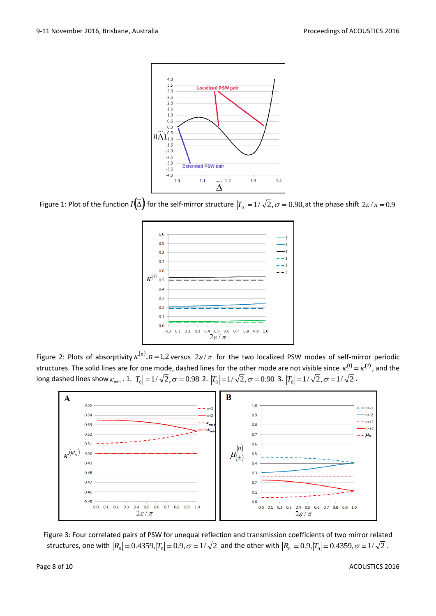

Figure 1: Plot of the function  $I\!\!\left(\widetilde\Delta\right)$  for the self-mirror structure  $\left|T_0\right|=1/\sqrt{2}$  ,  $\sigma=0.90$ , at the phase shift  $2\varepsilon/\pi$  =  $0.9$ 



Figure 2: Plots of absorptivity  $\kappa^{(n)}, n=1,2$  versus  $2\varepsilon/\pi$  for the two localized PSW modes of self-mirror periodic structures. The solid lines are for one mode, dashed lines for the other mode are not visible since  $\kappa^{(1)} = \kappa^{(2)}$ , and the long dashed lines show  $\kappa_{\min}$  . 1.  $\left|T_0\right|=1/\sqrt{2}, \sigma=0.98$  2.  $\left|T_0\right|=1/\sqrt{2}, \sigma=0.90$  3.  $\left|T_0\right|=1/\sqrt{2}, \sigma=1/\sqrt{2}$  .



Figure 3: Four correlated pairs of PSW for unequal reflection and transmission coefficients of two mirror related structures, one with  $|R_0|$  =  $0.4359, |T_0|$  =  $0.9, \sigma$  =  $1/\sqrt{2}~$  and the other with  $|R_0|$  =  $0.9, |T_0|$  =  $0.4359, \sigma$  =  $1/\sqrt{2}~$ .

Page 8 of 10 ACOUSTICS 2016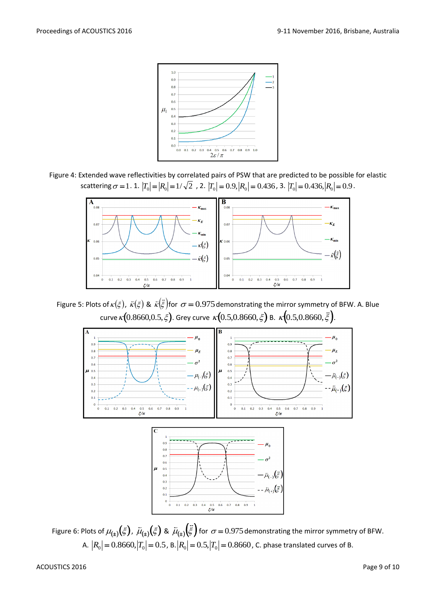

Figure 4: Extended wave reflectivities by correlated pairs of PSW that are predicted to be possible for elastic scattering  $\sigma = 1$ . 1.  $|T_0| = |R_0| = 1/\sqrt{2}$  , 2.  $|T_0| = 0.9$ ,  $|R_0| = 0.436$ , 3.  $|T_0| = 0.436$ ,  $|R_0| = 0.9$ .



Figure 5: Plots of  $\kappa(\xi)$ ,  $\bar{\kappa}(\xi)$  &  $\bar{\kappa}(\bar{\xi})$ f  $\bar{\kappa}(\ddot{\tilde{\varepsilon}})$ for  $\sigma$  =  $0.975$  demonstrating the mirror symmetry of BFW. A. Blue curve  $\kappa \big(0.8660,\!0.5,\! \xi \big).$  Grey curve  $\,\kappa \big(0.5,\!0.8660,\! \xi \big)$  B.  $\,\kappa \big(0.5,\!0.8660,\! \tilde{\xi} \big).$  $\frac{1}{2}$  $(0.5, 0.8660, \xi)$ .



Figure 6: Plots of  $\mu_{(\pm)}(\xi)$ ,  $\bar\mu_{(\pm)}(\xi)$  &  $\bar\mu_{(\pm)}(\ddot\xi)$  $\pm$  ( $\ddot{\tilde{\epsilon}}$  $f_{\pm}$ ) $(\xi)$  for  $\sigma$  = 0.975 demonstrating the mirror symmetry of BFW. A.  $|R_0| = 0.8660, |T_0| = 0.5$ , B. $|R_0| = 0.5, |T_0| = 0.8660$ , C. phase translated curves of B.